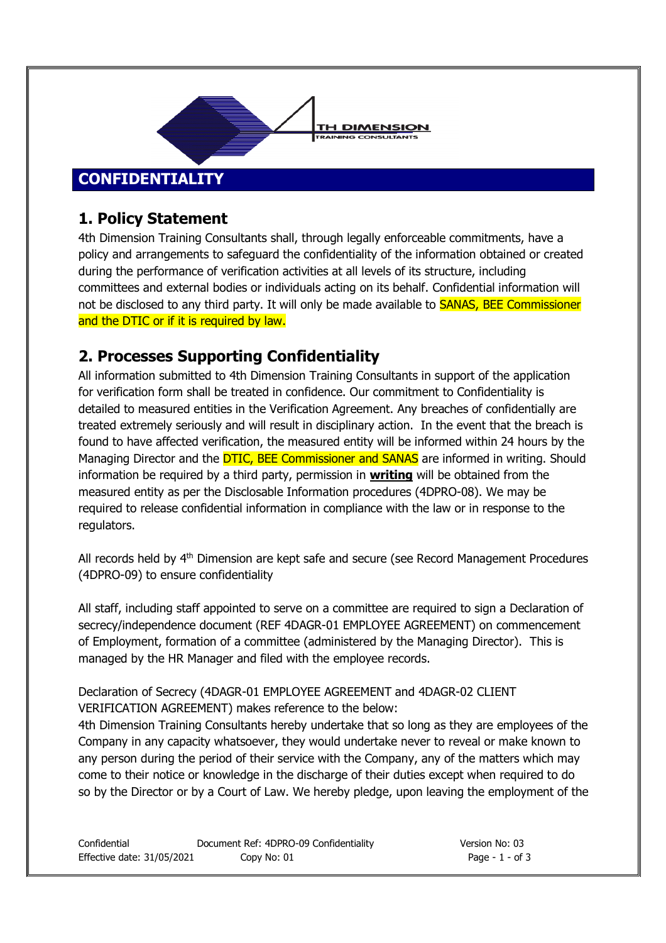

## **1. Policy Statement**

4th Dimension Training Consultants shall, through legally enforceable commitments, have a policy and arrangements to safeguard the confidentiality of the information obtained or created during the performance of verification activities at all levels of its structure, including committees and external bodies or individuals acting on its behalf. Confidential information will not be disclosed to any third party. It will only be made available to **SANAS, BEE Commissioner** and the DTIC or if it is required by law.

## **2. Processes Supporting Confidentiality**

All information submitted to 4th Dimension Training Consultants in support of the application for verification form shall be treated in confidence. Our commitment to Confidentiality is detailed to measured entities in the Verification Agreement. Any breaches of confidentially are treated extremely seriously and will result in disciplinary action. In the event that the breach is found to have affected verification, the measured entity will be informed within 24 hours by the Managing Director and the **DTIC, BEE Commissioner and SANAS** are informed in writing. Should information be required by a third party, permission in **writing** will be obtained from the measured entity as per the Disclosable Information procedures (4DPRO-08). We may be required to release confidential information in compliance with the law or in response to the regulators.

All records held by 4<sup>th</sup> Dimension are kept safe and secure (see Record Management Procedures (4DPRO-09) to ensure confidentiality

All staff, including staff appointed to serve on a committee are required to sign a Declaration of secrecy/independence document (REF 4DAGR-01 EMPLOYEE AGREEMENT) on commencement of Employment, formation of a committee (administered by the Managing Director). This is managed by the HR Manager and filed with the employee records.

Declaration of Secrecy (4DAGR-01 EMPLOYEE AGREEMENT and 4DAGR-02 CLIENT VERIFICATION AGREEMENT) makes reference to the below:

4th Dimension Training Consultants hereby undertake that so long as they are employees of the Company in any capacity whatsoever, they would undertake never to reveal or make known to any person during the period of their service with the Company, any of the matters which may come to their notice or knowledge in the discharge of their duties except when required to do so by the Director or by a Court of Law. We hereby pledge, upon leaving the employment of the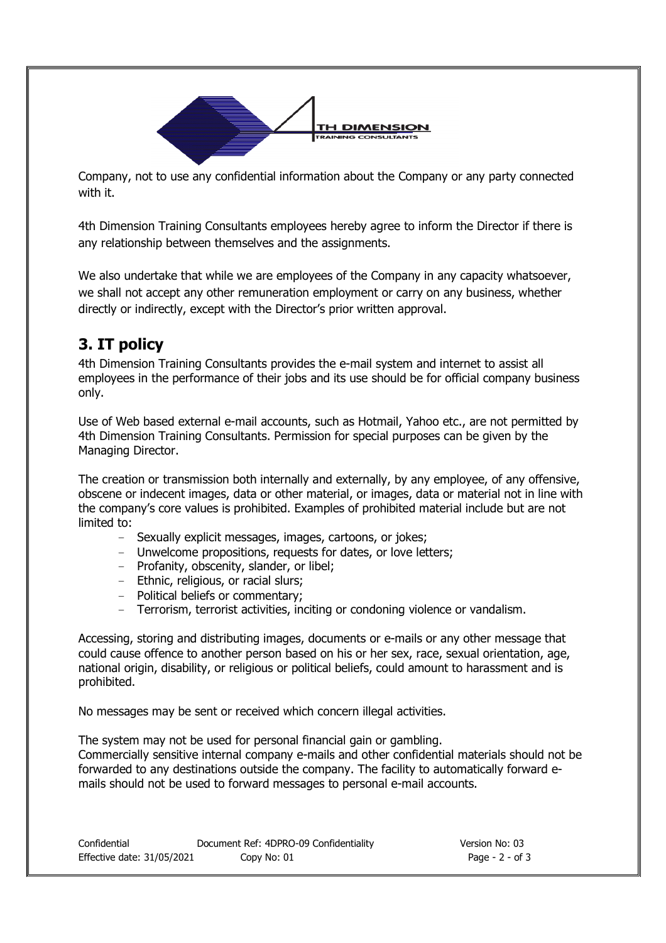

Company, not to use any confidential information about the Company or any party connected with it.

4th Dimension Training Consultants employees hereby agree to inform the Director if there is any relationship between themselves and the assignments.

We also undertake that while we are employees of the Company in any capacity whatsoever, we shall not accept any other remuneration employment or carry on any business, whether directly or indirectly, except with the Director's prior written approval.

## **3. IT policy**

4th Dimension Training Consultants provides the e-mail system and internet to assist all employees in the performance of their jobs and its use should be for official company business only.

Use of Web based external e-mail accounts, such as Hotmail, Yahoo etc., are not permitted by 4th Dimension Training Consultants. Permission for special purposes can be given by the Managing Director.

The creation or transmission both internally and externally, by any employee, of any offensive, obscene or indecent images, data or other material, or images, data or material not in line with the company's core values is prohibited. Examples of prohibited material include but are not limited to:

- Sexually explicit messages, images, cartoons, or jokes;
- Unwelcome propositions, requests for dates, or love letters;
- Profanity, obscenity, slander, or libel;
- Ethnic, religious, or racial slurs;
- Political beliefs or commentary;
- Terrorism, terrorist activities, inciting or condoning violence or vandalism.

Accessing, storing and distributing images, documents or e-mails or any other message that could cause offence to another person based on his or her sex, race, sexual orientation, age, national origin, disability, or religious or political beliefs, could amount to harassment and is prohibited.

No messages may be sent or received which concern illegal activities.

The system may not be used for personal financial gain or gambling. Commercially sensitive internal company e-mails and other confidential materials should not be forwarded to any destinations outside the company. The facility to automatically forward emails should not be used to forward messages to personal e-mail accounts.